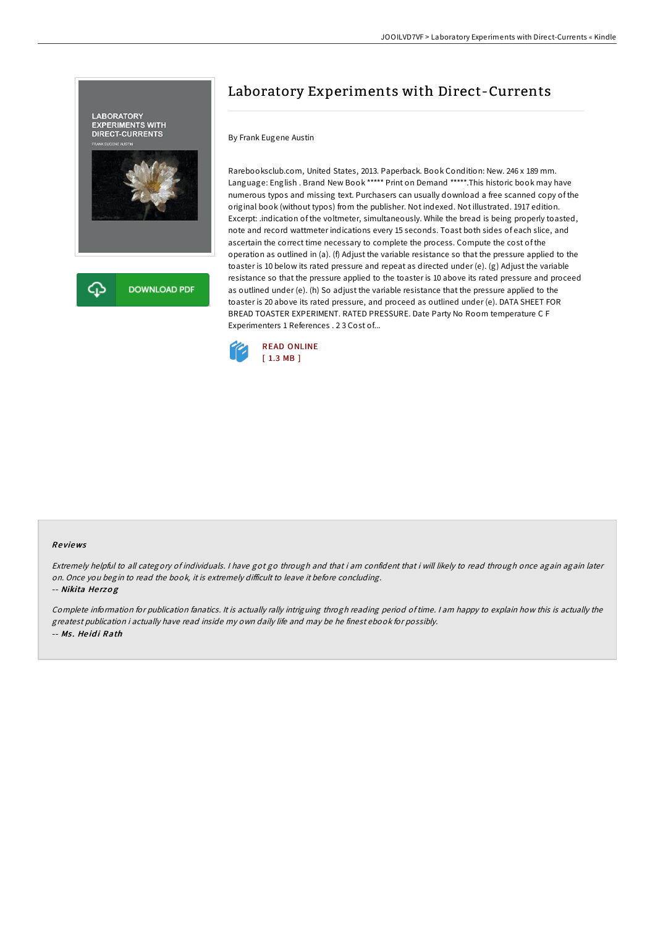

# Laboratory Experiments with Direct-Currents

### By Frank Eugene Austin

Rarebooksclub.com, United States, 2013. Paperback. Book Condition: New. 246 x 189 mm. Language: English . Brand New Book \*\*\*\*\* Print on Demand \*\*\*\*\*.This historic book may have numerous typos and missing text. Purchasers can usually download a free scanned copy of the original book (without typos) from the publisher. Not indexed. Not illustrated. 1917 edition. Excerpt: .indication of the voltmeter, simultaneously. While the bread is being properly toasted, note and record wattmeter indications every 15 seconds. Toast both sides of each slice, and ascertain the correct time necessary to complete the process. Compute the cost of the operation as outlined in (a). (f) Adjust the variable resistance so that the pressure applied to the toaster is 10 below its rated pressure and repeat as directed under (e). (g) Adjust the variable resistance so that the pressure applied to the toaster is 10 above its rated pressure and proceed as outlined under (e). (h) So adjust the variable resistance that the pressure applied to the toaster is 20 above its rated pressure, and proceed as outlined under (e). DATA SHEET FOR BREAD TOASTER EXPERIMENT. RATED PRESSURE. Date Party No Room temperature C F Experimenters 1 References . 2 3 Cost of...



#### Re views

Extremely helpful to all category of individuals. <sup>I</sup> have got go through and that i am confident that i will likely to read through once again again later on. Once you begin to read the book, it is extremely difficult to leave it before concluding.

-- Nikita Herzog

Complete information for publication fanatics. It is actually rally intriguing throgh reading period of time. <sup>I</sup> am happy to explain how this is actually the greatest publication i actually have read inside my own daily life and may be he finest ebook for possibly. -- Ms. Heidi Rath